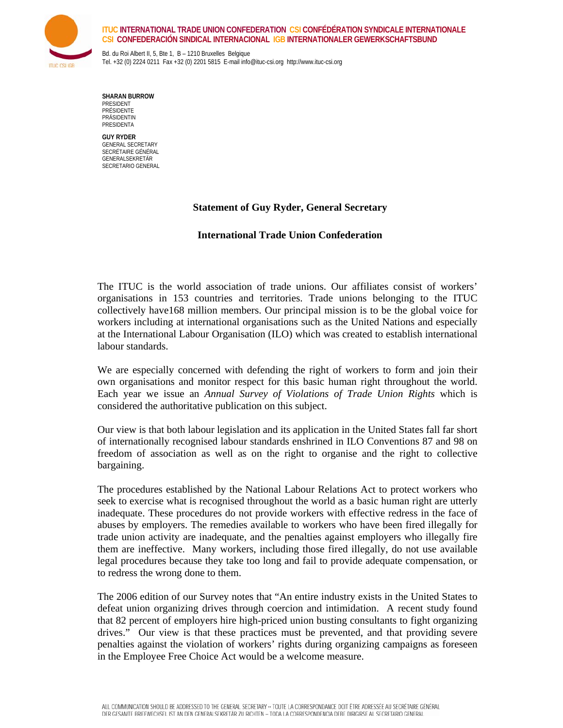

## **ITUC INTERNATIONAL TRADE UNION CONFEDERATION CSI CONFÉDÉRATION SYNDICALE INTERNATIONALE CSI CONFEDERACIÓN SINDICAL INTERNACIONAL IGB INTERNATIONALER GEWERKSCHAFTSBUND**

Bd. du Roi Albert II, 5, Bte 1, B – 1210 Bruxelles Belgique Tel. +32 (0) 2224 0211 Fax +32 (0) 2201 5815 E-mail info@ituc-csi.org http://www.ituc-csi.org

**SHARAN BURROW**  PRESIDENT PRÉSIDENTE PRÄSIDENTIN PRESIDENTA

**GUY RYDER**  GENERAL SECRETARY SECRÉTAIRE GÉNÉRAL GENERALSEKRETÄR SECRETARIO GENERAL

## **Statement of Guy Ryder, General Secretary**

## **International Trade Union Confederation**

The ITUC is the world association of trade unions. Our affiliates consist of workers' organisations in 153 countries and territories. Trade unions belonging to the ITUC collectively have168 million members. Our principal mission is to be the global voice for workers including at international organisations such as the United Nations and especially at the International Labour Organisation (ILO) which was created to establish international labour standards.

We are especially concerned with defending the right of workers to form and join their own organisations and monitor respect for this basic human right throughout the world. Each year we issue an *Annual Survey of Violations of Trade Union Rights* which is considered the authoritative publication on this subject.

Our view is that both labour legislation and its application in the United States fall far short of internationally recognised labour standards enshrined in ILO Conventions 87 and 98 on freedom of association as well as on the right to organise and the right to collective bargaining.

The procedures established by the National Labour Relations Act to protect workers who seek to exercise what is recognised throughout the world as a basic human right are utterly inadequate. These procedures do not provide workers with effective redress in the face of abuses by employers. The remedies available to workers who have been fired illegally for trade union activity are inadequate, and the penalties against employers who illegally fire them are ineffective. Many workers, including those fired illegally, do not use available legal procedures because they take too long and fail to provide adequate compensation, or to redress the wrong done to them.

The 2006 edition of our Survey notes that "An entire industry exists in the United States to defeat union organizing drives through coercion and intimidation. A recent study found that 82 percent of employers hire high-priced union busting consultants to fight organizing drives." Our view is that these practices must be prevented, and that providing severe penalties against the violation of workers' rights during organizing campaigns as foreseen in the Employee Free Choice Act would be a welcome measure.